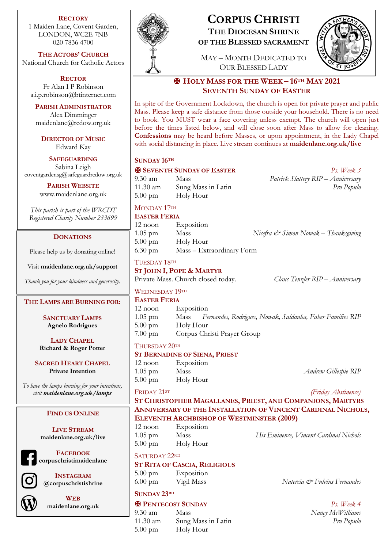**RECTORY**

1 Maiden Lane, Covent Garden, LONDON, WC2E 7NB 020 7836 4700

**THE ACTORS' CHURCH** National Church for Catholic Actors

**RECTOR** Fr Alan I P Robinson a.i.p.robinson@btinternet.com

**PARISH ADMINISTRATOR** Alex Dimminger maidenlane@rcdow.org.uk

**DIRECTOR OF MUSIC** Edward Kay

**SAFEGUARDING** Sabina Leigh coventgardensg@safeguardrcdow.org.uk

> **PARISH WEBSITE** www.maidenlane.org.uk

*This parish is part of the WRCDT Registered Charity Number 233699*

#### **DONATIONS**

Please help us by donating online!

Visit **maidenlane.org.uk/support**

*Thank you for your kindness and generosity.*

#### **THE LAMPS ARE BURNING FOR:**

**SANCTUARY LAMPS Agnelo Rodrigues**

**LADY CHAPEL Richard & Roger Potter**

**SACRED HEART CHAPEL Private Intention**

*To have the lamps burning for your intentions, visit maidenlane.org.uk/lamps*

# **FIND US ONLINE**

**LIVE STREAM maidenlane.org.uk/live**

**FACEBOOK corpuschristimaidenlane**

**INSTAGRAM @corpuschristishrine**



**WEB maidenlane.org.uk**



# **CORPUS CHRISTI THE DIOCESAN SHRINE**

**OF THE BLESSED SACRAMENT**

MAY – MONTH DEDICATED TO OUR BLESSED LADY



# ✠ **HOLY MASS FOR THE WEEK – 16TH MAY 2021 SEVENTH SUNDAY OF EASTER**

In spite of the Government Lockdown, the church is open for private prayer and public Mass. Please keep a safe distance from those outside your household. There is no need to book. You MUST wear a face covering unless exempt. The church will open just before the times listed below, and will close soon after Mass to allow for cleaning. **Confessions** may be heard before Masses, or upon appointment, in the Lady Chapel with social distancing in place. Live stream continues at **maidenlane.org.uk/live**

#### **SUNDAY 16TH**

MONDAY 17TH

TUESDAY 18TH

✠ **SEVENTH SUNDAY OF EASTER** *Ps. Week 3* 9.30 am Mass *Patrick Slattery RIP – Anniversary* 11.30 am Sung Mass in Latin *Pro Populo* 5.00 pm Holy Hour

**EASTER FERIA** 12 noon Exposition 1.05 pm Mass *Nicefra & Simon Nowak – Thanksgiving* 5.00 pm Holy Hour 6.30 pm Mass – Extraordinary Form

**ST JOHN I, POPE & MARTYR**

Private Mass. Church closed today. *Claus Tenzler RIP – Anniversary*

# WEDNESDAY 19TH

**EASTER FERIA** 12 noon Exposition 1.05 pm Mass *Fernandes, Rodrigues, Nowak, Saldanha, Faber Families RIP* 5.00 pm Holy Hour 7.00 pm Corpus Christi Prayer Group

# THURSDAY 20TH

# **ST BERNADINE OF SIENA, PRIEST**

12 noon Exposition 1.05 pm Mass *Andrew Gillespie RIP* 5.00 pm Holy Hour

**ST CHRISTOPHER MAGALLANES, PRIEST, AND COMPANIONS, MARTYRS ANNIVERSARY OF THE INSTALLATION OF VINCENT CARDINAL NICHOLS, ELEVENTH ARCHBISHOP OF WESTMINSTER (2009)**

- 12 noon Exposition
- 5.00 pm Holy Hour

# SATURDAY 22ND

# **ST RITA OF CASCIA, RELIGIOUS**

5.00 pm Exposition

# **SUNDAY 23RD**

# ✠ **PENTECOST SUNDAY** *Ps. Week 4*

9.30 am Mass *Nancy McWilliams* 11.30 am Sung Mass in Latin *Pro Populo* 5.00 pm Holy Hour

FRIDAY 21ST *(Friday Abstinence)*

- 1.05 pm Mass *His Eminence, Vincent Cardinal Nichols*
- 6.00 pm Vigil Mass *Natercia & Fulvius Fernandes*